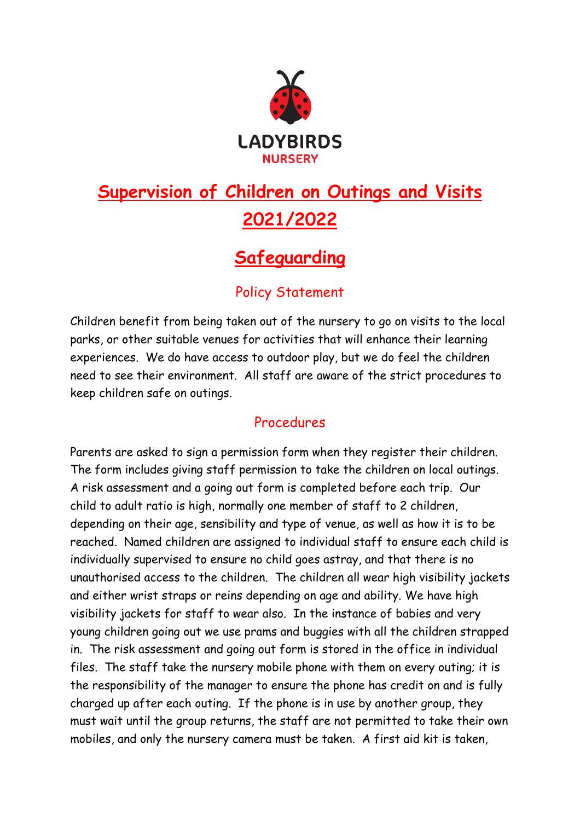

## **Supervision of Children on Outings and Visits 2021/2022**

## **Safeguarding**

## Policy Statement

Children benefit from being taken out of the nursery to go on visits to the local parks, or other suitable venues for activities that will enhance their learning experiences. We do have access to outdoor play, but we do feel the children need to see their environment. All staff are aware of the strict procedures to keep children safe on outings.

## Procedures

Parents are asked to sign a permission form when they register their children. The form includes giving staff permission to take the children on local outings. A risk assessment and a going out form is completed before each trip. Our child to adult ratio is high, normally one member of staff to 2 children, depending on their age, sensibility and type of venue, as well as how it is to be reached. Named children are assigned to individual staff to ensure each child is individually supervised to ensure no child goes astray, and that there is no unauthorised access to the children. The children all wear high visibility jackets and either wrist straps or reins depending on age and ability. We have high visibility jackets for staff to wear also. In the instance of babies and very young children going out we use prams and buggies with all the children strapped in. The risk assessment and going out form is stored in the office in individual files. The staff take the nursery mobile phone with them on every outing; it is the responsibility of the manager to ensure the phone has credit on and is fully charged up after each outing. If the phone is in use by another group, they must wait until the group returns, the staff are not permitted to take their own mobiles, and only the nursery camera must be taken. A first aid kit is taken,